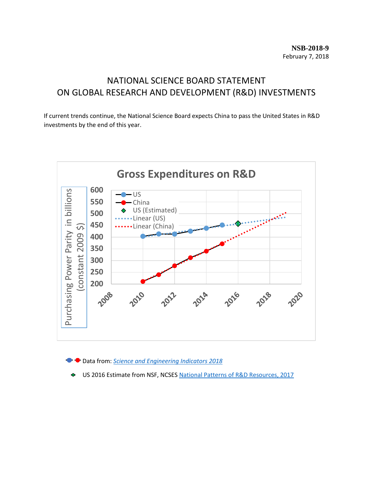# NATIONAL SCIENCE BOARD STATEMENT ON GLOBAL RESEARCH AND DEVELOPMENT (R&D) INVESTMENTS

If current trends continue, the National Science Board expects China to pass the United States in R&D investments by the end of this year.



Data from: *[Science and Engineering Indicators 2018](https://www.nsf.gov/statistics/2018/nsb20181/)*

US 2016 Estimate from NSF, NCSES [National Patterns of R&D Resources, 2017](https://www.nsf.gov/statistics/2018/nsf18306/)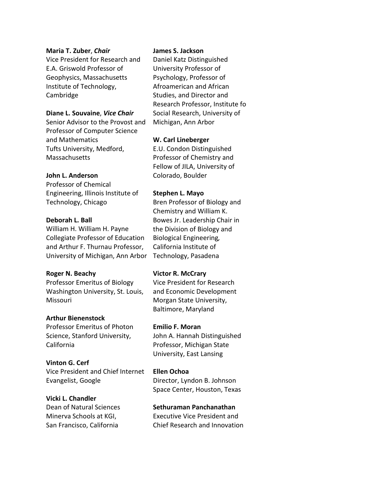## **Maria T. Zuber**, *Chair*

Vice President for Research and E.A. Griswold Professor of Geophysics, Massachusetts Institute of Technology, Cambridge

## **Diane L. Souvaine**, *Vice Chair*

Senior Advisor to the Provost and Professor of Computer Science and Mathematics Tufts University, Medford, **Massachusetts** 

# **John L. Anderson**

Professor of Chemical Engineering, Illinois Institute of Technology, Chicago

## **Deborah L. Ball**

William H. William H. Payne Collegiate Professor of Education and Arthur F. Thurnau Professor, University of Michigan, Ann Arbor

#### **Roger N. Beachy**

Professor Emeritus of Biology Washington University, St. Louis, Missouri

#### **Arthur Bienenstock**

Professor Emeritus of Photon Science, Stanford University, California

# **Vinton G. Cerf** Vice President and Chief Internet

Evangelist, Google

# **Vicki L. Chandler**

Dean of Natural Sciences Minerva Schools at KGI, San Francisco, California

## **James S. Jackson**

Daniel Katz Distinguished University Professor of Psychology, Professor of Afroamerican and African Studies, and Director and Research Professor, Institute fo Social Research, University of Michigan, Ann Arbor

# **W. Carl Lineberger**

E.U. Condon Distinguished Professor of Chemistry and Fellow of JILA, University of Colorado, Boulder

## **Stephen L. Mayo**

Bren Professor of Biology and Chemistry and William K. Bowes Jr. Leadership Chair in the Division of Biology and Biological Engineering*,*  California Institute of Technology, Pasadena

# **Victor R. McCrary**

Vice President for Research and Economic Development Morgan State University, Baltimore, Maryland

# **Emilio F. Moran**

John A. Hannah Distinguished Professor, Michigan State University, East Lansing

# **Ellen Ochoa**

Director, Lyndon B. Johnson Space Center, Houston, Texas

# **Sethuraman Panchanathan**

Executive Vice President and Chief Research and Innovation